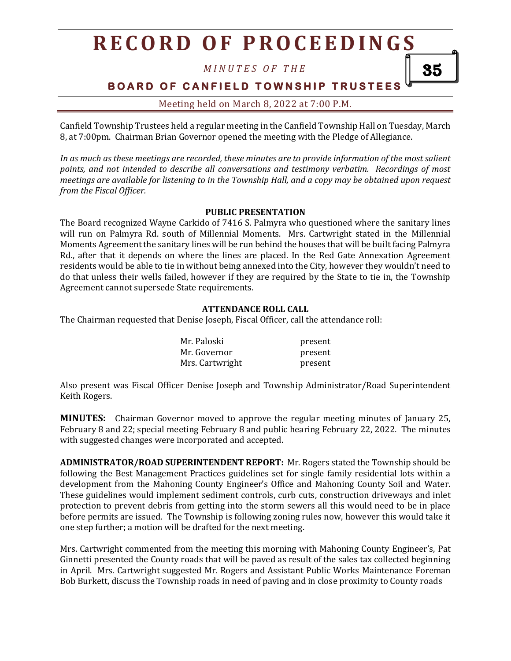*M I N U T E S O F T H E*

**BOARD OF CANFIELD TOWNSHIP TRUSTEES** 

35

Meeting held on March 8, 2022 at 7:00 P.M.

Canfield Township Trustees held a regular meeting in the Canfield Township Hall on Tuesday, March 8, at 7:00pm. Chairman Brian Governor opened the meeting with the Pledge of Allegiance.

*In as much as these meetings are recorded, these minutes are to provide information of the most salient points, and not intended to describe all conversations and testimony verbatim. Recordings of most meetings are available for listening to in the Township Hall, and a copy may be obtained upon request from the Fiscal Officer.*

#### **PUBLIC PRESENTATION**

The Board recognized Wayne Carkido of 7416 S. Palmyra who questioned where the sanitary lines will run on Palmyra Rd. south of Millennial Moments. Mrs. Cartwright stated in the Millennial Moments Agreement the sanitary lines will be run behind the houses that will be built facing Palmyra Rd., after that it depends on where the lines are placed. In the Red Gate Annexation Agreement residents would be able to tie in without being annexed into the City, however they wouldn't need to do that unless their wells failed, however if they are required by the State to tie in, the Township Agreement cannot supersede State requirements.

#### **ATTENDANCE ROLL CALL**

The Chairman requested that Denise Joseph, Fiscal Officer, call the attendance roll:

| Mr. Paloski     | present |
|-----------------|---------|
| Mr. Governor    | present |
| Mrs. Cartwright | present |

Also present was Fiscal Officer Denise Joseph and Township Administrator/Road Superintendent Keith Rogers.

**MINUTES:** Chairman Governor moved to approve the regular meeting minutes of January 25, February 8 and 22; special meeting February 8 and public hearing February 22, 2022. The minutes with suggested changes were incorporated and accepted.

**ADMINISTRATOR/ROAD SUPERINTENDENT REPORT:** Mr. Rogers stated the Township should be following the Best Management Practices guidelines set for single family residential lots within a development from the Mahoning County Engineer's Office and Mahoning County Soil and Water. These guidelines would implement sediment controls, curb cuts, construction driveways and inlet protection to prevent debris from getting into the storm sewers all this would need to be in place before permits are issued. The Township is following zoning rules now, however this would take it one step further; a motion will be drafted for the next meeting.

Mrs. Cartwright commented from the meeting this morning with Mahoning County Engineer's, Pat Ginnetti presented the County roads that will be paved as result of the sales tax collected beginning in April. Mrs. Cartwright suggested Mr. Rogers and Assistant Public Works Maintenance Foreman Bob Burkett, discuss the Township roads in need of paving and in close proximity to County roads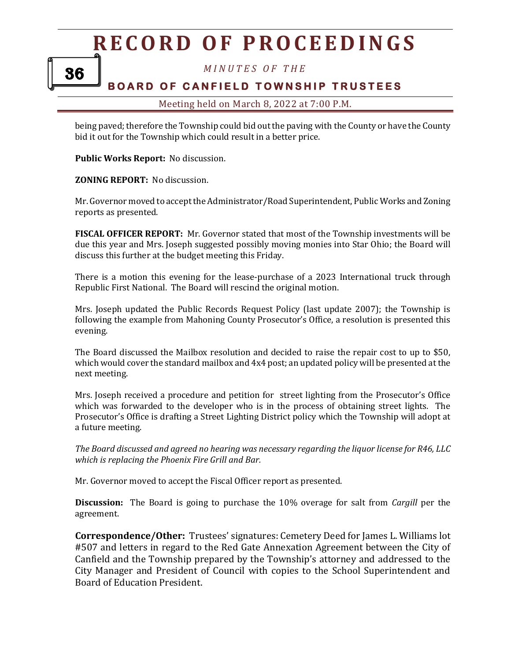*M I N U T E S O F T H E*

### **BOARD OF CANFIELD TOWNSHIP TRUSTEES**

#### Meeting held on March 8, 2022 at 7:00 P.M.

being paved; therefore the Township could bid out the paving with the County or have the County bid it out for the Township which could result in a better price.

**Public Works Report:** No discussion.

**ZONING REPORT:** No discussion.

Mr. Governor moved to accept the Administrator/Road Superintendent, Public Works and Zoning reports as presented.

**FISCAL OFFICER REPORT:** Mr. Governor stated that most of the Township investments will be due this year and Mrs. Joseph suggested possibly moving monies into Star Ohio; the Board will discuss this further at the budget meeting this Friday.

There is a motion this evening for the lease-purchase of a 2023 International truck through Republic First National. The Board will rescind the original motion.

Mrs. Joseph updated the Public Records Request Policy (last update 2007); the Township is following the example from Mahoning County Prosecutor's Office, a resolution is presented this evening.

The Board discussed the Mailbox resolution and decided to raise the repair cost to up to \$50, which would cover the standard mailbox and 4x4 post; an updated policy will be presented at the next meeting.

Mrs. Joseph received a procedure and petition for street lighting from the Prosecutor's Office which was forwarded to the developer who is in the process of obtaining street lights. The Prosecutor's Office is drafting a Street Lighting District policy which the Township will adopt at a future meeting.

*The Board discussed and agreed no hearing was necessary regarding the liquor license for R46, LLC which is replacing the Phoenix Fire Grill and Bar.*

Mr. Governor moved to accept the Fiscal Officer report as presented.

**Discussion:** The Board is going to purchase the 10% overage for salt from *Cargill* per the agreement.

**Correspondence/Other:** Trustees' signatures: Cemetery Deed for James L. Williams lot #507 and letters in regard to the Red Gate Annexation Agreement between the City of Canfield and the Township prepared by the Township's attorney and addressed to the City Manager and President of Council with copies to the School Superintendent and Board of Education President.

36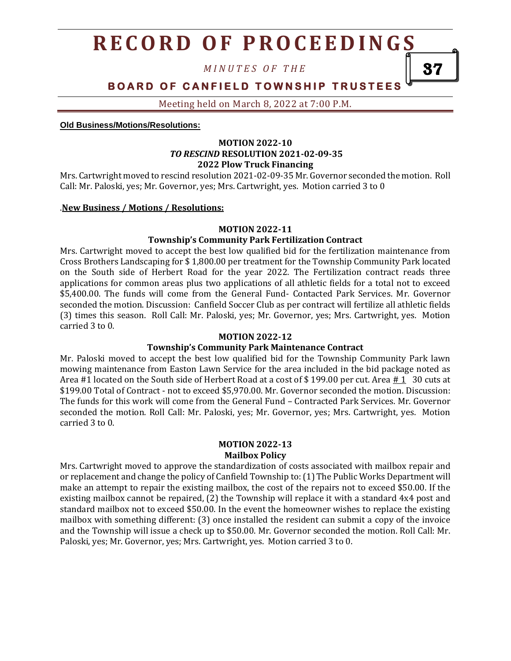*M I N U T E S O F T H E*

**BOARD OF CANFIELD TOWNSHIP TRUSTEES** 

Meeting held on March 8, 2022 at 7:00 P.M.

**Old Business/Motions/Resolutions:**

#### **MOTION 2022-10** *TO RESCIND* **RESOLUTION 2021-02-09-35 2022 Plow Truck Financing**

Mrs. Cartwright moved to rescind resolution 2021-02-09-35 Mr. Governor seconded the motion. Roll Call: Mr. Paloski, yes; Mr. Governor, yes; Mrs. Cartwright, yes. Motion carried 3 to 0

#### .**New Business / Motions / Resolutions:**

#### **MOTION 2022-11**

#### **Township's Community Park Fertilization Contract**

Mrs. Cartwright moved to accept the best low qualified bid for the fertilization maintenance from Cross Brothers Landscaping for \$ 1,800.00 per treatment for the Township Community Park located on the South side of Herbert Road for the year 2022. The Fertilization contract reads three applications for common areas plus two applications of all athletic fields for a total not to exceed \$5,400.00. The funds will come from the General Fund- Contacted Park Services. Mr. Governor seconded the motion. Discussion: Canfield Soccer Club as per contract will fertilize all athletic fields (3) times this season. Roll Call: Mr. Paloski, yes; Mr. Governor, yes; Mrs. Cartwright, yes. Motion carried 3 to 0.

#### **MOTION 2022-12**

#### **Township's Community Park Maintenance Contract**

Mr. Paloski moved to accept the best low qualified bid for the Township Community Park lawn mowing maintenance from Easton Lawn Service for the area included in the bid package noted as Area #1 located on the South side of Herbert Road at a cost of \$199.00 per cut. Area  $\#1$  30 cuts at \$199.00 Total of Contract - not to exceed \$5,970.00. Mr. Governor seconded the motion. Discussion: The funds for this work will come from the General Fund – Contracted Park Services. Mr. Governor seconded the motion. Roll Call: Mr. Paloski, yes; Mr. Governor, yes; Mrs. Cartwright, yes. Motion carried 3 to 0.

#### **MOTION 2022-13 Mailbox Policy**

Mrs. Cartwright moved to approve the standardization of costs associated with mailbox repair and or replacement and change the policy of Canfield Township to: (1) The Public Works Department will make an attempt to repair the existing mailbox, the cost of the repairs not to exceed \$50.00. If the existing mailbox cannot be repaired, (2) the Township will replace it with a standard 4x4 post and standard mailbox not to exceed \$50.00. In the event the homeowner wishes to replace the existing mailbox with something different: (3) once installed the resident can submit a copy of the invoice and the Township will issue a check up to \$50.00. Mr. Governor seconded the motion. Roll Call: Mr. Paloski, yes; Mr. Governor, yes; Mrs. Cartwright, yes. Motion carried 3 to 0.

37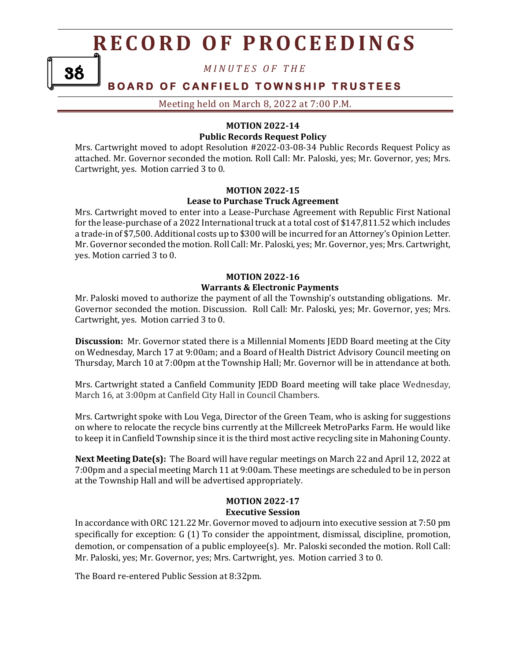*M I N U T E S O F T H E*

### **BOARD OF CANFIELD TOWNSHIP TRUSTEES**

Meeting held on March 8, 2022 at 7:00 P.M.

#### **MOTION 2022-14 Public Records Request Policy**

Mrs. Cartwright moved to adopt Resolution #2022-03-08-34 Public Records Request Policy as attached. Mr. Governor seconded the motion. Roll Call: Mr. Paloski, yes; Mr. Governor, yes; Mrs. Cartwright, yes. Motion carried 3 to 0.

#### **MOTION 2022-15 Lease to Purchase Truck Agreement**

Mrs. Cartwright moved to enter into a Lease-Purchase Agreement with Republic First National for the lease-purchase of a 2022 International truck at a total cost of \$147,811.52 which includes a trade-in of \$7,500. Additional costs up to \$300 will be incurred for an Attorney's Opinion Letter. Mr. Governor seconded the motion. Roll Call: Mr. Paloski, yes; Mr. Governor, yes; Mrs. Cartwright, yes. Motion carried 3 to 0.

### **MOTION 2022-16 Warrants & Electronic Payments**

Mr. Paloski moved to authorize the payment of all the Township's outstanding obligations. Mr. Governor seconded the motion. Discussion. Roll Call: Mr. Paloski, yes; Mr. Governor, yes; Mrs. Cartwright, yes. Motion carried 3 to 0.

**Discussion:** Mr. Governor stated there is a Millennial Moments JEDD Board meeting at the City on Wednesday, March 17 at 9:00am; and a Board of Health District Advisory Council meeting on Thursday, March 10 at 7:00pm at the Township Hall; Mr. Governor will be in attendance at both.

Mrs. Cartwright stated a Canfield Community JEDD Board meeting will take place Wednesday, March 16, at 3:00pm at Canfield City Hall in Council Chambers.

Mrs. Cartwright spoke with Lou Vega, Director of the Green Team, who is asking for suggestions on where to relocate the recycle bins currently at the Millcreek MetroParks Farm. He would like to keep it in Canfield Township since it is the third most active recycling site in Mahoning County.

**Next Meeting Date(s):** The Board will have regular meetings on March 22 and April 12, 2022 at 7:00pm and a special meeting March 11 at 9:00am. These meetings are scheduled to be in person at the Township Hall and will be advertised appropriately.

#### **MOTION 2022-17 Executive Session**

In accordance with ORC 121.22 Mr. Governor moved to adjourn into executive session at 7:50 pm specifically for exception: G (1) To consider the appointment, dismissal, discipline, promotion, demotion, or compensation of a public employee(s). Mr. Paloski seconded the motion. Roll Call: Mr. Paloski, yes; Mr. Governor, yes; Mrs. Cartwright, yes. Motion carried 3 to 0.

The Board re-entered Public Session at 8:32pm.

38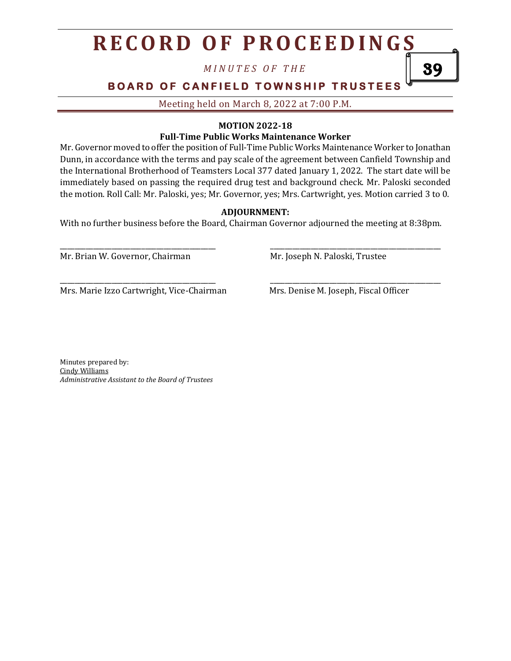*M I N U T E S O F T H E*

**BOARD OF CANFIELD TOWNSHIP TRUSTEES** 

Meeting held on March 8, 2022 at 7:00 P.M.

#### **MOTION 2022-18**

#### **Full-Time Public Works Maintenance Worker**

Mr. Governor moved to offer the position of Full-Time Public Works Maintenance Worker to Jonathan Dunn, in accordance with the terms and pay scale of the agreement between Canfield Township and the International Brotherhood of Teamsters Local 377 dated January 1, 2022. The start date will be immediately based on passing the required drug test and background check. Mr. Paloski seconded the motion. Roll Call: Mr. Paloski, yes; Mr. Governor, yes; Mrs. Cartwright, yes. Motion carried 3 to 0.

#### **ADJOURNMENT:**

With no further business before the Board, Chairman Governor adjourned the meeting at 8:38pm.

\_\_\_\_\_\_\_\_\_\_\_\_\_\_\_\_\_\_\_\_\_\_\_\_\_\_\_\_\_\_\_\_\_\_\_\_\_\_\_\_\_\_ \_\_\_\_\_\_\_\_\_\_\_\_\_\_\_\_\_\_\_\_\_\_\_\_\_\_\_\_\_\_\_\_\_\_\_\_\_\_\_\_\_\_\_\_\_\_

\_\_\_\_\_\_\_\_\_\_\_\_\_\_\_\_\_\_\_\_\_\_\_\_\_\_\_\_\_\_\_\_\_\_\_\_\_\_\_\_\_\_ \_\_\_\_\_\_\_\_\_\_\_\_\_\_\_\_\_\_\_\_\_\_\_\_\_\_\_\_\_\_\_\_\_\_\_\_\_\_\_\_\_\_\_\_\_\_

Mr. Brian W. Governor, Chairman Mr. Joseph N. Paloski, Trustee

Mrs. Marie Izzo Cartwright, Vice-Chairman Mrs. Denise M. Joseph, Fiscal Officer

39

Minutes prepared by: Cindy Williams *Administrative Assistant to the Board of Trustees*